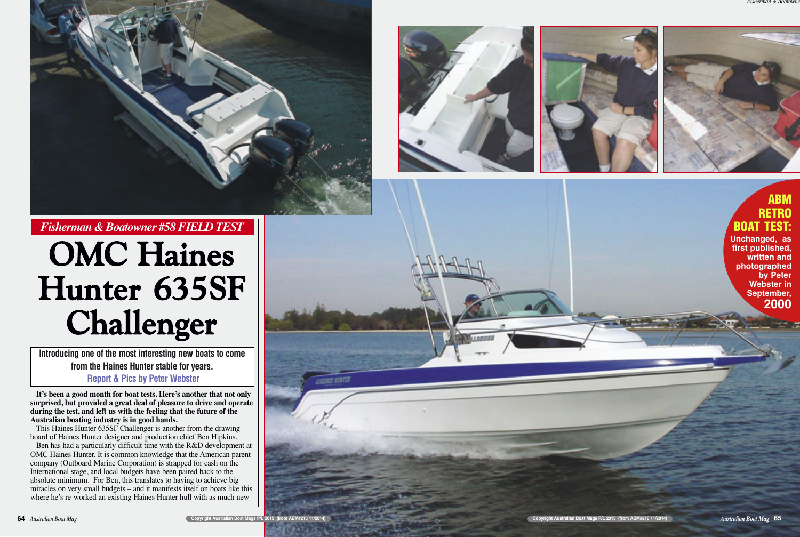

**It's been a good month for boat tests. Here's another that not only surprised, but provided a great deal of pleasure to drive and operate during the test, and left us with the feeling that the future of the Australian boating industry is in good hands.**

Ben has had a particularly difficult time with the R&D development at OMC Haines Hunter. It is common knowledge that the American parent company (Outboard Marine Corporation) is strapped for cash on the International stage, and local budgets have been paired back to the absolute minimum. For Ben, this translates to having to achieve big miracles on very small budgets – and it manifests itself on boats like this where he's re-worked an existing Haines Hunter hull with as much new



This Haines Hunter 635SF Challenger is another from the drawing board of Haines Hunter designer and production chief Ben Hipkins.

**Introducing one of the most interesting new boats to come from the Haines Hunter stable for years. Report & Pics by Peter Webster**

# **OMC Haines Hunter 635SF Challenger**







# *Fisherman & Boatowner #58 FIELD TEST*

# **ABM RETRO BOAT TEST: Unchanged, as first published,**

**written and photographed by Peter Webster in September, 2000**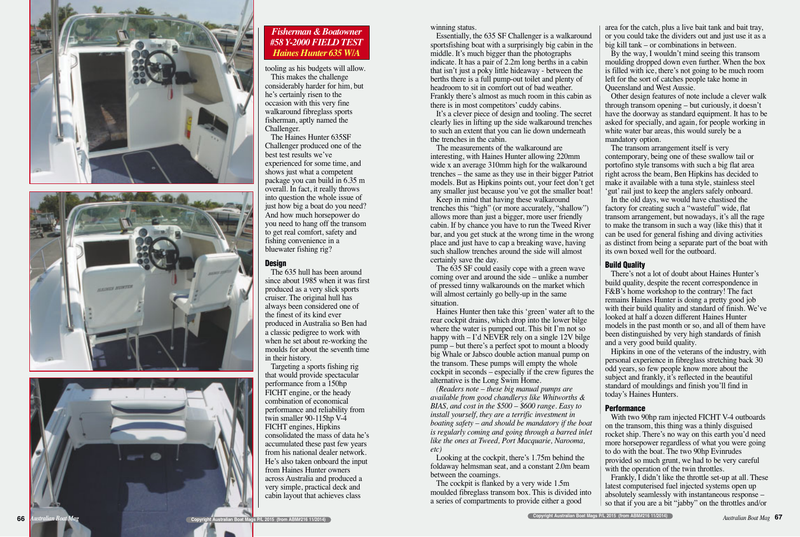winning status.

Essentially, the 635 SF Challenger is a walkaround sportsfishing boat with a surprisingly big cabin in the middle. It's much bigger than the photographs indicate. It has a pair of 2.2m long berths in a cabin that isn't just a poky little hideaway - between the berths there is a full pump-out toilet and plenty of headroom to sit in comfort out of bad weather. Frankly there's almost as much room in this cabin as there is in most competitors' cuddy cabins.

It's a clever piece of design and tooling. The secret clearly lies in lifting up the side walkaround trenches to such an extent that you can lie down underneath the trenches in the cabin.

The measurements of the walkaround are interesting, with Haines Hunter allowing 220mm wide x an average 310mm high for the walkaround trenches – the same as they use in their bigger Patriot models. But as Hipkins points out, your feet don't get any smaller just because you've got the smaller boat!

Keep in mind that having these walkaround trenches this "high" (or more accurately, "shallow") allows more than just a bigger, more user friendly cabin. If by chance you have to run the Tweed River bar, and you get stuck at the wrong time in the wrong place and just have to cap a breaking wave, having such shallow trenches around the side will almost certainly save the day.

The 635 SF could easily cope with a green wave coming over and around the side – unlike a number of pressed tinny walkarounds on the market which will almost certainly go belly-up in the same situation.

Haines Hunter then take this 'green' water aft to the rear cockpit drains, which drop into the lower bilge where the water is pumped out. This bit I'm not so happy with – I'd NEVER rely on a single 12V bilge pump – but there's a perfect spot to mount a bloody big Whale or Jabsco double action manual pump on the transom. These pumps will empty the whole cockpit in seconds – especially if the crew figures the alternative is the Long Swim Home.

*(Readers note – these big manual pumps are available from good chandlerys like Whitworths & BIAS, and cost in the \$500 – \$600 range. Easy to install yourself, they are a terrific investment in boating safety – and should be mandatory if the boat is regularly coming and going through a barred inlet like the ones at Tweed, Port Macquarie, Narooma, etc)*

Looking at the cockpit, there's 1.75m behind the foldaway helmsman seat, and a constant 2.0m beam between the coamings.

The cockpit is flanked by a very wide 1.5m moulded fibreglass transom box. This is divided into a series of compartments to provide either a good

area for the catch, plus a live bait tank and bait tray, or you could take the dividers out and just use it as a big kill tank – or combinations in between.

By the way, I wouldn't mind seeing this transom moulding dropped down even further. When the box is filled with ice, there's not going to be much room left for the sort of catches people take home in Queensland and West Aussie.

Other design features of note include a clever walk through transom opening – but curiously, it doesn't have the doorway as standard equipment. It has to be asked for specially, and again, for people working in white water bar areas, this would surely be a mandatory option.

The transom arrangement itself is very contemporary, being one of these swallow tail or portofino style transoms with such a big flat area right across the beam, Ben Hipkins has decided to make it available with a tuna style, stainless steel 'gut' rail just to keep the anglers safely onboard. In the old days, we would have chastised the factory for creating such a "wasteful" wide, flat transom arrangement, but nowadays, it's all the rage to make the transom in such a way (like this) that it can be used for general fishing and diving activities as distinct from being a separate part of the boat with its own boxed well for the outboard.

#### **Build Quality**

There's not a lot of doubt about Haines Hunter's build quality, despite the recent correspondence in F&B's home workshop to the contrary! The fact remains Haines Hunter is doing a pretty good job with their build quality and standard of finish. We've looked at half a dozen different Haines Hunter models in the past month or so, and all of them have been distinguished by very high standards of finish and a very good build quality.

Hipkins in one of the veterans of the industry, with personal experience in fibreglass stretching back 30 odd years, so few people know more about the subject and frankly, it's reflected in the beautiful standard of mouldings and finish you'll find in today's Haines Hunters.

# **Performance**

With two 90hp ram injected FICHT V-4 outboards on the transom, this thing was a thinly disguised rocket ship. There's no way on this earth you'd need more horsepower regardless of what you were going to do with the boat. The two 90hp Evinrudes provided so much grunt, we had to be very careful with the operation of the twin throttles.

Frankly, I didn't like the throttle set-up at all. These latest computerised fuel injected systems open up absolutely seamlessly with instantaneous response – so that if you are a bit "jabby" on the throttles and/or

tooling as his budgets will allow. This makes the challenge considerably harder for him, but he's certainly risen to the occasion with this very fine walkaround fibreglass sports fisherman, aptly named the Challenger.

The Haines Hunter 635SF Challenger produced one of the best test results we've experienced for some time, and shows just what a competent package you can build in 6.35 m overall. In fact, it really throws into question the whole issue of just how big a boat do you need? And how much horsepower do you need to hang off the transom to get real comfort, safety and fishing convenience in a bluewater fishing rig?

#### **Design**

The 635 hull has been around since about 1985 when it was first produced as a very slick sports cruiser. The original hull has always been considered one of the finest of its kind ever produced in Australia so Ben had a classic pedigree to work with when he set about re-working the moulds for about the seventh time in their history.

Targeting a sports fishing rig that would provide spectacular performance from a 150hp FICHT engine, or the heady combination of economical performance and reliability from twin smaller 90-115hp V-4 FICHT engines, Hipkins consolidated the mass of data he's accumulated these past few years from his national dealer network. He's also taken onboard the input from Haines Hunter owners across Australia and produced a very simple, practical deck and cabin layout that achieves class







## *Fisherman & Boatowner #58 Y-2000 FIELD TEST Haines Hunter 635 W/A*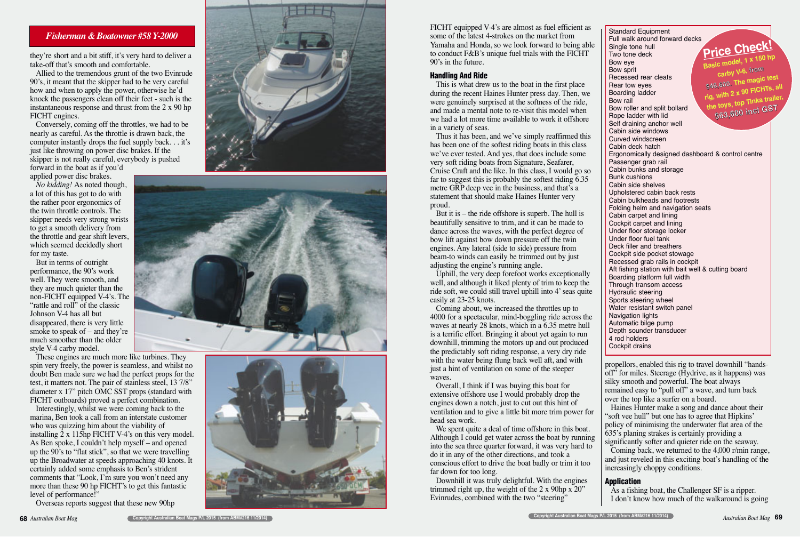FICHT equipped V-4's are almost as fuel efficient as some of the latest 4-strokes on the market from Yamaha and Honda, so we look forward to being able to conduct F&B's unique fuel trials with the FICHT 90's in the future.

#### **Handling And Ride**

This is what drew us to the boat in the first place during the recent Haines Hunter press day. Then, we were genuinely surprised at the softness of the ride, and made a mental note to re-visit this model when we had a lot more time available to work it offshore in a variety of seas.

Thus it has been, and we've simply reaffirmed this has been one of the softest riding boats in this class we've ever tested. And yes, that does include some very soft riding boats from Signature, Seafarer, Cruise Craft and the like. In this class, I would go so far to suggest this is probably the softest riding 6.35 metre GRP deep vee in the business, and that's a statement that should make Haines Hunter very proud.

But it is – the ride offshore is superb. The hull is beautifully sensitive to trim, and it can be made to dance across the waves, with the perfect degree of bow lift against bow down pressure off the twin engines. Any lateral (side to side) pressure from beam-to winds can easily be trimmed out by just adjusting the engine's running angle.

Uphill, the very deep forefoot works exceptionally well, and although it liked plenty of trim to keep the ride soft, we could still travel uphill into 4' seas quite easily at 23-25 knots.

Coming about, we increased the throttles up to 4000 for a spectacular, mind-boggling ride across the waves at nearly 28 knots, which in a 6.35 metre hull is a terrific effort. Bringing it about yet again to run downhill, trimming the motors up and out produced the predictably soft riding response, a very dry ride with the water being flung back well aft, and with just a hint of ventilation on some of the steeper waves.

Overall, I think if I was buying this boat for extensive offshore use I would probably drop the engines down a notch, just to cut out this hint of ventilation and to give a little bit more trim power for head sea work.

We spent quite a deal of time offshore in this boat. Although I could get water across the boat by running into the sea three quarter forward, it was very hard to do it in any of the other directions, and took a conscious effort to drive the boat badly or trim it too far down for too long.

Downhill it was truly delightful. With the engines trimmed right up, the weight of the 2 x 90hp x 20" Evinrudes, combined with the two "steering"

propellors, enabled this rig to travel downhill "handsoff<sup>3</sup> for miles. Steerage (Hydrive, as it happens) was silky smooth and powerful. The boat always remained easy to "pull off" a wave, and turn back over the top like a surfer on a board.

Standard Equipment Full walk around forward decks Single tone hull Two tone deck Bow eye Bow sprit Recessed rear cleats Rear tow eyes Boarding ladder Bow rail Bow roller and split bollard Rope ladder with lid Self draining anchor well Cabin side windows Curved windscreen Cabin deck hatch Ergonomically designed dashboard & control centre Passenger grab rail Cabin bunks and storage Bunk cushions Cabin side shelves Upholstered cabin back rests Cabin bulkheads and footrests Folding helm and navigation seats Cabin carpet and lining Cockpit carpet and lining Under floor storage locker Under floor fuel tank Deck filler and breathers Cockpit side pocket stowage Recessed grab rails in cockpit Aft fishing station with bait well & cutting board Boarding platform full width Through transom access Hydraulic steering Sports steering wheel Water resistant switch panel Navigation lights Automatic bilge pump Depth sounder transducer 4 rod holders Cockpit drains **Price Check!**<br>Basic model, 1 x 150 hp<br>carby V-6, from<br>\$46,600. The magic test<br>rig, with 2 x 90 FICHTs, all<br>the toys, top Tinka trailer,<br>\$63,600 incl GST

Haines Hunter make a song and dance about their "soft vee hull" but one has to agree that Hipkins' policy of minimising the underwater flat area of the 635's planing strakes is certainly providing a significantly softer and quieter ride on the seaway. Coming back, we returned to the 4,000 r/min range, and just reveled in this exciting boat's handling of the increasingly choppy conditions.

#### **Application**

As a fishing boat, the Challenger SF is a ripper. I don't know how much of the walkaround is going

they're short and a bit stiff, it's very hard to deliver a take-off that's smooth and comfortable.

Allied to the tremendous grunt of the two Evinrude 90's, it meant that the skipper had to be very careful how and when to apply the power, otherwise he'd knock the passengers clean off their feet - such is the instantaneous response and thrust from the 2 x 90 hp FICHT engines.

Conversely, coming off the throttles, we had to be nearly as careful. As the throttle is drawn back, the computer instantly drops the fuel supply back. . . it's just like throwing on power disc brakes. If the skipper is not really careful, everybody is pushed forward in the boat as if you'd

applied power disc brakes.

*No kidding!* As noted though, a lot of this has got to do with the rather poor ergonomics of the twin throttle controls. The skipper needs very strong wrists to get a smooth delivery from the throttle and gear shift levers, which seemed decidedly short for my taste.

But in terms of outright performance, the 90's work well. They were smooth, and they are much quieter than the non-FICHT equipped V-4's. The "rattle and roll" of the classic Johnson V-4 has all but disappeared, there is very little smoke to speak of – and they're much smoother than the older style V-4 carby model.

These engines are much more like turbines. They spin very freely, the power is seamless, and whilst no doubt Ben made sure we had the perfect props for the test, it matters not. The pair of stainless steel, 13 7/8" diameter x 17" pitch OMC SST props (standard with FICHT outboards) proved a perfect combination.

Interestingly, whilst we were coming back to the marina, Ben took a call from an interstate customer who was quizzing him about the viability of installing 2 x 115hp FICHT V-4's on this very model. As Ben spoke, I couldn't help myself – and opened up the 90's to "flat stick", so that we were travelling up the Broadwater at speeds approaching 40 knots. It certainly added some emphasis to Ben's strident comments that "Look, I'm sure you won't need any more than these 90 hp FICHT's to get this fantastic level of performance!"

Overseas reports suggest that these new 90hp







## *Fisherman & Boatowner #58 Y-2000*